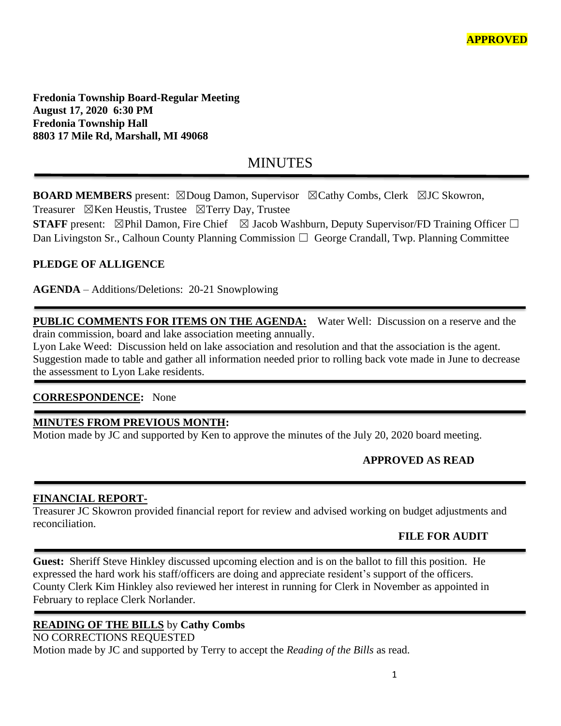**Fredonia Township Board-Regular Meeting August 17, 2020 6:30 PM Fredonia Township Hall 8803 17 Mile Rd, Marshall, MI 49068**

# **MINUTES**

**BOARD MEMBERS** present: ⊠Doug Damon, Supervisor ⊠Cathy Combs, Clerk ⊠JC Skowron, Treasurer  $\boxtimes$ Ken Heustis, Trustee  $\boxtimes$ Terry Day, Trustee

**STAFF** present:  $\boxtimes$ Phil Damon, Fire Chief  $\boxtimes$  Jacob Washburn, Deputy Supervisor/FD Training Officer  $\Box$ Dan Livingston Sr., Calhoun County Planning Commission  $\Box$  George Crandall, Twp. Planning Committee

## **PLEDGE OF ALLIGENCE**

**AGENDA** – Additions/Deletions: 20-21 Snowplowing

**PUBLIC COMMENTS FOR ITEMS ON THE AGENDA:** Water Well: Discussion on a reserve and the drain commission, board and lake association meeting annually.

Lyon Lake Weed: Discussion held on lake association and resolution and that the association is the agent. Suggestion made to table and gather all information needed prior to rolling back vote made in June to decrease the assessment to Lyon Lake residents.

#### **CORRESPONDENCE:** None

## **MINUTES FROM PREVIOUS MONTH:**

Motion made by JC and supported by Ken to approve the minutes of the July 20, 2020 board meeting.

## **APPROVED AS READ**

#### **FINANCIAL REPORT-**

Treasurer JC Skowron provided financial report for review and advised working on budget adjustments and reconciliation.

#### **FILE FOR AUDIT**

**Guest:** Sheriff Steve Hinkley discussed upcoming election and is on the ballot to fill this position. He expressed the hard work his staff/officers are doing and appreciate resident's support of the officers. County Clerk Kim Hinkley also reviewed her interest in running for Clerk in November as appointed in February to replace Clerk Norlander.

## **READING OF THE BILLS** by **Cathy Combs**

NO CORRECTIONS REQUESTED Motion made by JC and supported by Terry to accept the *Reading of the Bills* as read.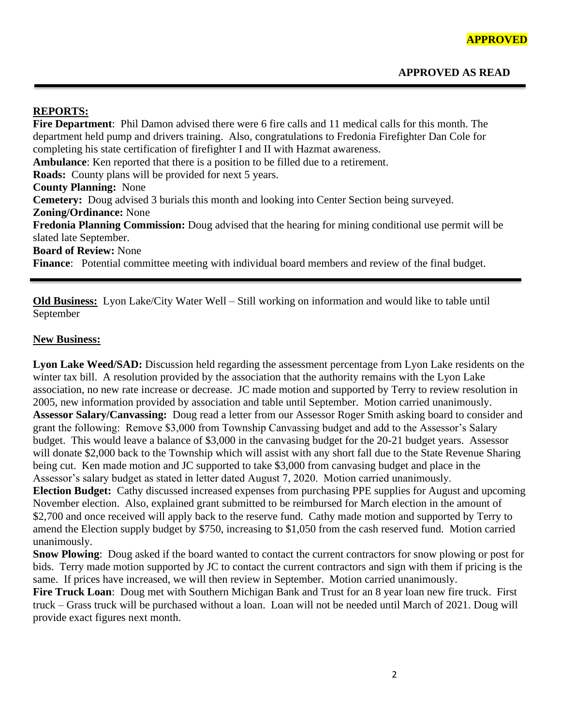# **REPORTS:**

**Fire Department**: Phil Damon advised there were 6 fire calls and 11 medical calls for this month. The department held pump and drivers training. Also, congratulations to Fredonia Firefighter Dan Cole for completing his state certification of firefighter I and II with Hazmat awareness. **Ambulance**: Ken reported that there is a position to be filled due to a retirement. **Roads:** County plans will be provided for next 5 years. **County Planning:** None **Cemetery:** Doug advised 3 burials this month and looking into Center Section being surveyed. **Zoning/Ordinance:** None **Fredonia Planning Commission:** Doug advised that the hearing for mining conditional use permit will be slated late September. **Board of Review:** None **Finance**: Potential committee meeting with individual board members and review of the final budget.

**Old Business:** Lyon Lake/City Water Well – Still working on information and would like to table until September

#### **New Business:**

**Lyon Lake Weed/SAD:** Discussion held regarding the assessment percentage from Lyon Lake residents on the winter tax bill. A resolution provided by the association that the authority remains with the Lyon Lake association, no new rate increase or decrease. JC made motion and supported by Terry to review resolution in 2005, new information provided by association and table until September. Motion carried unanimously. **Assessor Salary/Canvassing:** Doug read a letter from our Assessor Roger Smith asking board to consider and grant the following: Remove \$3,000 from Township Canvassing budget and add to the Assessor's Salary budget. This would leave a balance of \$3,000 in the canvasing budget for the 20-21 budget years. Assessor will donate \$2,000 back to the Township which will assist with any short fall due to the State Revenue Sharing being cut. Ken made motion and JC supported to take \$3,000 from canvasing budget and place in the Assessor's salary budget as stated in letter dated August 7, 2020. Motion carried unanimously.

**Election Budget:** Cathy discussed increased expenses from purchasing PPE supplies for August and upcoming November election. Also, explained grant submitted to be reimbursed for March election in the amount of \$2,700 and once received will apply back to the reserve fund. Cathy made motion and supported by Terry to amend the Election supply budget by \$750, increasing to \$1,050 from the cash reserved fund. Motion carried unanimously.

**Snow Plowing**: Doug asked if the board wanted to contact the current contractors for snow plowing or post for bids. Terry made motion supported by JC to contact the current contractors and sign with them if pricing is the same. If prices have increased, we will then review in September. Motion carried unanimously.

**Fire Truck Loan**: Doug met with Southern Michigan Bank and Trust for an 8 year loan new fire truck. First truck – Grass truck will be purchased without a loan. Loan will not be needed until March of 2021. Doug will provide exact figures next month.